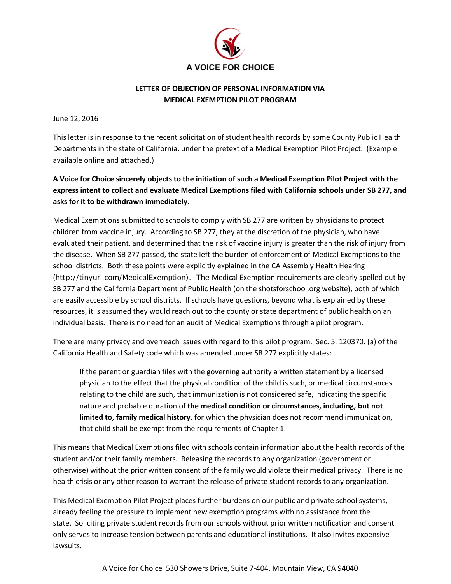

## **LETTER OF OBJECTION OF PERSONAL INFORMATION VIA MEDICAL EXEMPTION PILOT PROGRAM**

June 12, 2016

This letter is in response to the recent solicitation of student health records by some County Public Health Departments in the state of California, under the pretext of a Medical Exemption Pilot Project. (Example available online and attached.)

## **A Voice for Choice sincerely objects to the initiation of such a Medical Exemption Pilot Project with the express intent to collect and evaluate Medical Exemptions filed with California schools under SB 277, and asks for it to be withdrawn immediately.**

Medical Exemptions submitted to schools to comply with SB 277 are written by physicians to protect children from vaccine injury. According to SB 277, they at the discretion of the physician, who have evaluated their patient, and determined that the risk of vaccine injury is greater than the risk of injury from the disease. When SB 277 passed, the state left the burden of enforcement of Medical Exemptions to the school districts. Both these points were explicitly explained in the CA Assembly Health Hearing ([http://tinyurl.com/MedicalExemption\)](http://tinyurl.com/MedicalExemption). The Medical Exemption requirements are clearly spelled out by SB 277 and the California Department of Public Health (on the shotsforschool.org website), both of which are easily accessible by school districts. If schools have questions, beyond what is explained by these resources, it is assumed they would reach out to the county or state department of public health on an individual basis. There is no need for an audit of Medical Exemptions through a pilot program.

There are many privacy and overreach issues with regard to this pilot program. Sec. 5. 120370. (a) of the California Health and Safety code which was amended under SB 277 explicitly states:

If the parent or guardian files with the governing authority a written statement by a licensed physician to the effect that the physical condition of the child is such, or medical circumstances relating to the child are such, that immunization is not considered safe, indicating the specific nature and probable duration of **the medical condition or circumstances, including, but not limited to, family medical history**, for which the physician does not recommend immunization, that child shall be exempt from the requirements of Chapter 1.

This means that Medical Exemptions filed with schools contain information about the health records of the student and/or their family members. Releasing the records to any organization (government or otherwise) without the prior written consent of the family would violate their medical privacy. There is no health crisis or any other reason to warrant the release of private student records to any organization.

This Medical Exemption Pilot Project places further burdens on our public and private school systems, already feeling the pressure to implement new exemption programs with no assistance from the state. Soliciting private student records from our schools without prior written notification and consent only serves to increase tension between parents and educational institutions. It also invites expensive lawsuits.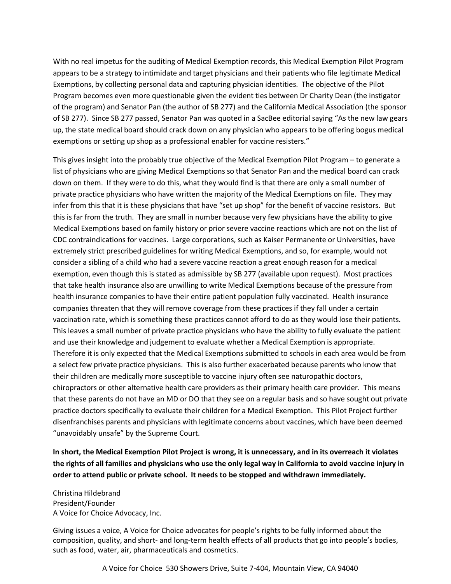With no real impetus for the auditing of Medical Exemption records, this Medical Exemption Pilot Program appears to be a strategy to intimidate and target physicians and their patients who file legitimate Medical Exemptions, by collecting personal data and capturing physician identities. The objective of the Pilot Program becomes even more questionable given the evident ties between Dr Charity Dean (the instigator of the program) and Senator Pan (the author of SB 277) and the California Medical Association (the sponsor of SB 277). Since SB 277 passed, Senator Pan was quoted in a SacBee editorial saying "As the new law gears up, the state medical board should crack down on any physician who appears to be offering bogus medical exemptions or setting up shop as a professional enabler for vaccine resisters."

This gives insight into the probably true objective of the Medical Exemption Pilot Program – to generate a list of physicians who are giving Medical Exemptions so that Senator Pan and the medical board can crack down on them. If they were to do this, what they would find is that there are only a small number of private practice physicians who have written the majority of the Medical Exemptions on file. They may infer from this that it is these physicians that have "set up shop" for the benefit of vaccine resistors. But this is far from the truth. They are small in number because very few physicians have the ability to give Medical Exemptions based on family history or prior severe vaccine reactions which are not on the list of CDC contraindications for vaccines. Large corporations, such as Kaiser Permanente or Universities, have extremely strict prescribed guidelines for writing Medical Exemptions, and so, for example, would not consider a sibling of a child who had a severe vaccine reaction a great enough reason for a medical exemption, even though this is stated as admissible by SB 277 (available upon request). Most practices that take health insurance also are unwilling to write Medical Exemptions because of the pressure from health insurance companies to have their entire patient population fully vaccinated. Health insurance companies threaten that they will remove coverage from these practices if they fall under a certain vaccination rate, which is something these practices cannot afford to do as they would lose their patients. This leaves a small number of private practice physicians who have the ability to fully evaluate the patient and use their knowledge and judgement to evaluate whether a Medical Exemption is appropriate. Therefore it is only expected that the Medical Exemptions submitted to schools in each area would be from a select few private practice physicians. This is also further exacerbated because parents who know that their children are medically more susceptible to vaccine injury often see naturopathic doctors, chiropractors or other alternative health care providers as their primary health care provider. This means that these parents do not have an MD or DO that they see on a regular basis and so have sought out private practice doctors specifically to evaluate their children for a Medical Exemption. This Pilot Project further disenfranchises parents and physicians with legitimate concerns about vaccines, which have been deemed "unavoidably unsafe" by the Supreme Court.

**In short, the Medical Exemption Pilot Project is wrong, it is unnecessary, and in its overreach it violates the rights of all families and physicians who use the only legal way in California to avoid vaccine injury in order to attend public or private school. It needs to be stopped and withdrawn immediately.**

Christina Hildebrand President/Founder A Voice for Choice Advocacy, Inc.

Giving issues a voice, A Voice for Choice advocates for people's rights to be fully informed about the composition, quality, and short- and long-term health effects of all products that go into people's bodies, such as food, water, air, pharmaceuticals and cosmetics.